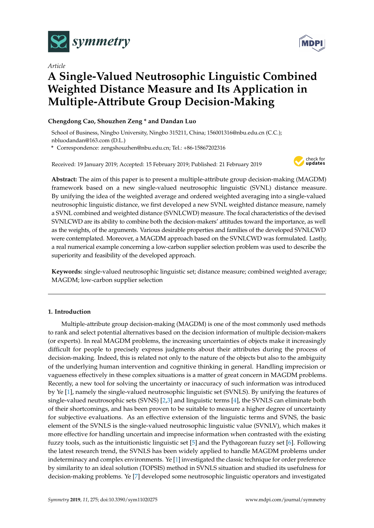

*Article*

# **A Single-Valued Neutrosophic Linguistic Combined Weighted Distance Measure and Its Application in Multiple-Attribute Group Decision-Making**

# **Chengdong Cao, Shouzhen Zeng \* and Dandan Luo**

School of Business, Ningbo University, Ningbo 315211, China; 156001316@nbu.edu.cn (C.C.); nbluodandan@163.com (D.L.)

**\*** Correspondence: zengshouzhen@nbu.edu.cn; Tel.: +86-15867202316

Received: 19 January 2019; Accepted: 15 February 2019; Published: 21 February 2019



**Abstract:** The aim of this paper is to present a multiple-attribute group decision-making (MAGDM) framework based on a new single-valued neutrosophic linguistic (SVNL) distance measure. By unifying the idea of the weighted average and ordered weighted averaging into a single-valued neutrosophic linguistic distance, we first developed a new SVNL weighted distance measure, namely a SVNL combined and weighted distance (SVNLCWD) measure. The focal characteristics of the devised SVNLCWD are its ability to combine both the decision-makers' attitudes toward the importance, as well as the weights, of the arguments. Various desirable properties and families of the developed SVNLCWD were contemplated. Moreover, a MAGDM approach based on the SVNLCWD was formulated. Lastly, a real numerical example concerning a low-carbon supplier selection problem was used to describe the superiority and feasibility of the developed approach.

**Keywords:** single-valued neutrosophic linguistic set; distance measure; combined weighted average; MAGDM; low-carbon supplier selection

# **1. Introduction**

Multiple-attribute group decision-making (MAGDM) is one of the most commonly used methods to rank and select potential alternatives based on the decision information of multiple decision-makers (or experts). In real MAGDM problems, the increasing uncertainties of objects make it increasingly difficult for people to precisely express judgments about their attributes during the process of decision-making. Indeed, this is related not only to the nature of the objects but also to the ambiguity of the underlying human intervention and cognitive thinking in general. Handling imprecision or vagueness effectively in these complex situations is a matter of great concern in MAGDM problems. Recently, a new tool for solving the uncertainty or inaccuracy of such information was introduced by Ye [\[1\]](#page-9-0), namely the single-valued neutrosophic linguistic set (SVNLS). By unifying the features of single-valued neutrosophic sets (SVNS) [\[2,](#page-9-1)[3\]](#page-9-2) and linguistic terms [\[4\]](#page-9-3), the SVNLS can eliminate both of their shortcomings, and has been proven to be suitable to measure a higher degree of uncertainty for subjective evaluations. As an effective extension of the linguistic terms and SVNS, the basic element of the SVNLS is the single-valued neutrosophic linguistic value (SVNLV), which makes it more effective for handling uncertain and imprecise information when contrasted with the existing fuzzy tools, such as the intuitionistic linguistic set [\[5\]](#page-9-4) and the Pythagorean fuzzy set [\[6\]](#page-9-5). Following the latest research trend, the SVNLS has been widely applied to handle MAGDM problems under indeterminacy and complex environments. Ye [\[1\]](#page-9-0) investigated the classic technique for order preference by similarity to an ideal solution (TOPSIS) method in SVNLS situation and studied its usefulness for decision-making problems. Ye [\[7\]](#page-9-6) developed some neutrosophic linguistic operators and investigated

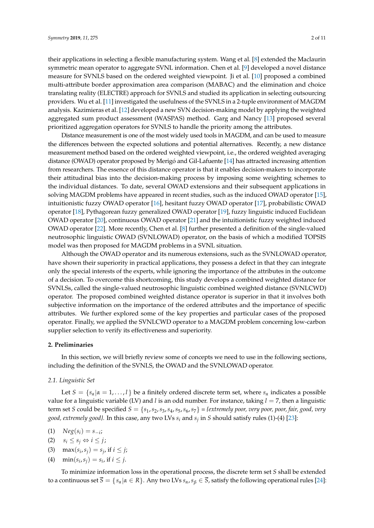their applications in selecting a flexible manufacturing system. Wang et al. [\[8\]](#page-9-7) extended the Maclaurin symmetric mean operator to aggregate SVNL information. Chen et al. [\[9\]](#page-9-8) developed a novel distance measure for SVNLS based on the ordered weighted viewpoint. Ji et al. [\[10\]](#page-9-9) proposed a combined multi-attribute border approximation area comparison (MABAC) and the elimination and choice translating reality (ELECTRE) approach for SVNLS and studied its application in selecting outsourcing providers. Wu et al. [\[11\]](#page-10-0) investigated the usefulness of the SVNLS in a 2-tuple environment of MAGDM analysis. Kazimieras et al. [\[12\]](#page-10-1) developed a new SVN decision-making model by applying the weighted aggregated sum product assessment (WASPAS) method. Garg and Nancy [\[13\]](#page-10-2) proposed several prioritized aggregation operators for SVNLS to handle the priority among the attributes.

Distance measurement is one of the most widely used tools in MAGDM, and can be used to measure the differences between the expected solutions and potential alternatives. Recently, a new distance measurement method based on the ordered weighted viewpoint, i.e., the ordered weighted averaging distance (OWAD) operator proposed by Merigó and Gil-Lafuente [\[14\]](#page-10-3) has attracted increasing attention from researchers. The essence of this distance operator is that it enables decision-makers to incorporate their attitudinal bias into the decision-making process by imposing some weighting schemes to the individual distances. To date, several OWAD extensions and their subsequent applications in solving MAGDM problems have appeared in recent studies, such as the induced OWAD operator [\[15\]](#page-10-4), intuitionistic fuzzy OWAD operator [\[16\]](#page-10-5), hesitant fuzzy OWAD operator [\[17\]](#page-10-6), probabilistic OWAD operator [\[18\]](#page-10-7), Pythagorean fuzzy generalized OWAD operator [\[19\]](#page-10-8), fuzzy linguistic induced Euclidean OWAD operator [\[20\]](#page-10-9), continuous OWAD operator [\[21\]](#page-10-10) and the intuitionistic fuzzy weighted induced OWAD operator [\[22\]](#page-10-11). More recently, Chen et al. [\[8\]](#page-9-7) further presented a definition of the single-valued neutrosophic linguistic OWAD (SVNLOWAD) operator, on the basis of which a modified TOPSIS model was then proposed for MAGDM problems in a SVNL situation.

Although the OWAD operator and its numerous extensions, such as the SVNLOWAD operator, have shown their superiority in practical applications, they possess a defect in that they can integrate only the special interests of the experts, while ignoring the importance of the attributes in the outcome of a decision. To overcome this shortcoming, this study develops a combined weighted distance for SVNLSs, called the single-valued neutrosophic linguistic combined weighted distance (SVNLCWD) operator. The proposed combined weighted distance operator is superior in that it involves both subjective information on the importance of the ordered attributes and the importance of specific attributes. We further explored some of the key properties and particular cases of the proposed operator. Finally, we applied the SVNLCWD operator to a MAGDM problem concerning low-carbon supplier selection to verify its effectiveness and superiority.

#### **2. Preliminaries**

In this section, we will briefly review some of concepts we need to use in the following sections, including the definition of the SVNLS, the OWAD and the SVNLOWAD operator.

#### *2.1. Linguistic Set*

Let  $S = \{s_\alpha | \alpha = 1, \ldots, l\}$  be a finitely ordered discrete term set, where  $s_\alpha$  indicates a possible value for a linguistic variable (LV) and *l* is an odd number. For instance, taking *l* = 7, then a linguistic term set *S* could be specified  $S = \{s_1, s_2, s_3, s_4, s_5, s_6, s_7\} = \{extremely poor, very poor, four, fair, good, very$ *good, extremely good}.* In this case, any two LVs *s<sup>i</sup>* and *s<sup>j</sup>* in *S* should satisfy rules (1)-(4) [\[23\]](#page-10-12):

- (1)  $Neg(s_i) = s_{-i}$ ;
- $(s_i \leq s_j \Leftrightarrow i \leq j;$
- (3)  $\max(s_i, s_j) = s_j$ , if  $i \leq j$ ;
- (4)  $\min(s_i, s_j) = s_i$ , if  $i \leq j$ .

To minimize information loss in the operational process, the discrete term set *S* shall be extended to a continuous set  $\overline{S} = \{s_\alpha | \alpha \in R\}$ . Any two LVs  $s_\alpha, s_\beta \in \overline{S}$ , satisfy the following operational rules [\[24\]](#page-10-13):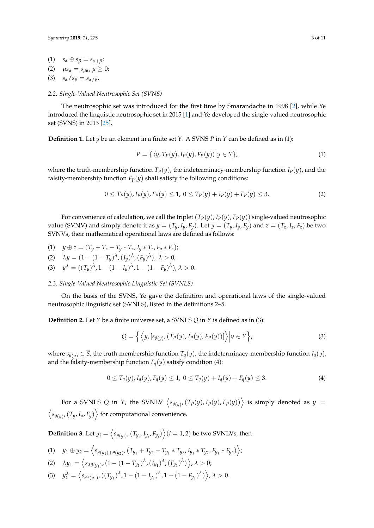- (1)  $s_{\alpha} \oplus s_{\beta} = s_{\alpha + \beta}$ ;
- (2)  $μs_α = s_μ_α, μ ≥ 0;$
- (3)  $s_{\alpha}/s_{\beta} = s_{\alpha/\beta}$ .

## *2.2. Single-Valued Neutrosophic Set (SVNS)*

The neutrosophic set was introduced for the first time by Smarandache in 1998 [\[2\]](#page-9-1), while Ye introduced the linguistic neutrosophic set in 2015 [\[1\]](#page-9-0) and Ye developed the single-valued neutrosophic set (SVNS) in 2013 [\[25\]](#page-10-14).

**Definition 1.** Let *y* be an element in a finite set *Y*. A SVNS *P* in *Y* can be defined as in (1):

$$
P = \{ \langle y, T_P(y), I_P(y), F_P(y) \rangle | y \in Y \},\tag{1}
$$

where the truth-membership function  $T_p(y)$ , the indeterminacy-membership function  $I_p(y)$ , and the falsity-membership function  $F_P(y)$  shall satisfy the following conditions:

$$
0 \le T_P(y), I_P(y), F_P(y) \le 1, \ 0 \le T_P(y) + I_P(y) + F_P(y) \le 3. \tag{2}
$$

For convenience of calculation, we call the triplet  $(T_P(y), I_P(y), F_P(y))$  single-valued neutrosophic value (SVNV) and simply denote it as  $y = (T_y, I_y, F_y)$ . Let  $y = (T_y, I_y, F_y)$  and  $z = (T_z, I_z, F_z)$  be two SVNVs, their mathematical operational laws are defined as follows:

- (1)  $y \oplus z = (T_y + T_z T_y * T_z, I_y * T_z, F_y * F_z);$
- (2)  $\lambda y = (1 (1 T_y)^{\lambda}, (I_y)^{\lambda}, (F_y)^{\lambda}), \lambda > 0;$
- (3)  $y^{\lambda} = ((T_y)^{\lambda}, 1 (1 I_y)^{\lambda}, 1 (1 F_y)^{\lambda}), \lambda > 0.$

#### *2.3. Single-Valued Neutrosophic Linguistic Set (SVNLS)*

On the basis of the SVNS, Ye gave the definition and operational laws of the single-valued neutrosophic linguistic set (SVNLS), listed in the definitions 2–5.

**Definition 2.** Let *Y* be a finite universe set, a SVNLS *Q* in *Y* is defined as in (3):

$$
Q = \left\{ \left\langle y, [s_{\theta(y)}, (T_P(y), I_P(y), F_P(y))] \right\rangle \middle| y \in Y \right\},\tag{3}
$$

where  $s_{\theta(v)} \in \overline{S}$ , the truth-membership function  $T_q(y)$ , the indeterminacy-membership function  $I_q(y)$ , and the falsity-membership function  $F_q(y)$  satisfy condition (4):

$$
0 \le T_q(y), I_q(y), F_q(y) \le 1, \ 0 \le T_q(y) + I_q(y) + F_q(y) \le 3. \tag{4}
$$

For a SVNLS Q in *Y*, the SVNLV  $\Big\langle s_{\theta(y)},(T_P(y),I_P(y),F_P(y))\Big\rangle$  is simply denoted as  $y=$  $\langle s_{\theta(y)}$ ,  $(T_y, I_y, F_y) \rangle$  for computational convenience.

 $\textbf{Definition 3.}$  Let  $y_i = \left\langle s_{\theta(y_i)}, (T_{y_i}, I_{y_i}, F_{y_i}) \right\rangle$   $(i = 1, 2)$  be two SVNLVs, then

- (1)  $y_1 \oplus y_2 = \langle s_{\theta(y_1)+\theta(y_2)}, (T_{y_1}+T_{y_2}-T_{y_1}*T_{y_2}, I_{y_1}*T_{y_2}, F_{y_1}*F_{y_2}) \rangle$
- (2)  $\lambda y_1 = \left\langle s_{\lambda \theta(y_1)} (1 (1 T_{y_1})^{\lambda}, (I_{y_1})^{\lambda}, (F_{y_1})^{\lambda}) \right\rangle, \lambda > 0;$
- (3)  $y_1^{\lambda} = \left\langle s_{\theta^{\lambda}(y_1)}, ((T_{y_1})^{\lambda}, 1 (1 I_{y_1})^{\lambda}, 1 (1 F_{y_1})^{\lambda}) \right\rangle, \lambda > 0.$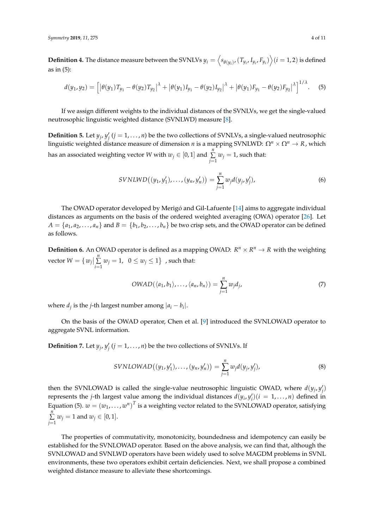**Definition 4.** The distance measure between the SVNLVs  $y_i = \left\langle s_{\theta(y_i)} , (T_{y_i}, I_{y_i}, F_{y_i}) \right\rangle (i=1,2)$  is defined as in (5):

$$
d(y_1, y_2) = \left[ \left| \theta(y_1) T_{y_1} - \theta(y_2) T_{y_2} \right|^{\lambda} + \left| \theta(y_1) I_{y_1} - \theta(y_2) I_{y_2} \right|^{\lambda} + \left| \theta(y_1) F_{y_1} - \theta(y_2) F_{y_2} \right|^{\lambda} \right]^{1/\lambda} . \tag{5}
$$

If we assign different weights to the individual distances of the SVNLVs, we get the single-valued neutrosophic linguistic weighted distance (SVNLWD) measure [\[8\]](#page-9-7).

**Definition 5.** Let  $y_j$ ,  $y'_j$  ( $j = 1, ..., n$ ) be the two collections of SVNLVs, a single-valued neutrosophic linguistic weighted distance measure of dimension *n* is a mapping SVNLWD:  $Ω^n$  ×  $Ω^n$  → *R*, which has an associated weighting vector  $W$  with  $w_j \in [0,1]$  and  $\sum_{i=1}^n$  $\sum\limits_{j=1}^{\mathcal{D}} w_j = 1$ , such that:

$$
SVNLWD((y_1, y'_1), \ldots, (y_n, y'_n)) = \sum_{j=1}^n w_j d(y_j, y'_j),
$$
\n(6)

The OWAD operator developed by Merigó and Gil-Lafuente [\[14\]](#page-10-3) aims to aggregate individual distances as arguments on the basis of the ordered weighted averaging (OWA) operator [\[26\]](#page-10-15). Let  $A = \{a_1, a_2, \ldots, a_n\}$  and  $B = \{b_1, b_2, \ldots, b_n\}$  be two crisp sets, and the OWAD operator can be defined as follows.

**Definition 6.** An OWAD operator is defined as a mapping OWAD:  $R^n \times R^n \rightarrow R$  with the weighting vector  $W = \{ w_j |$ *n* ∑  $\sum\limits_{i=1}^{\infty} w_j = 1, \ \ 0 \leq w_j \leq 1$ } , such that:

$$
OWAD(\langle a_1, b_1 \rangle, \dots, \langle a_n, b_n \rangle) = \sum_{j=1}^n w_j d_j,
$$
 (7)

where  $d_j$  is the *j*-th largest number among  $|a_i - b_i|$ .

On the basis of the OWAD operator, Chen et al. [\[9\]](#page-9-8) introduced the SVNLOWAD operator to aggregate SVNL information.

**Definition 7.** Let  $y_j$ ,  $y'_j$  ( $j = 1, ..., n$ ) be the two collections of SVNLVs. If

$$
SVINLOWAD((y_1, y_1'), \ldots, (y_n, y_n')) = \sum_{j=1}^n w_j d(y_j, y_j').
$$
\n(8)

then the SVNLOWAD is called the single-value neutrosophic linguistic OWAD, where  $d(y_j, y'_j)$ represents the *j*-th largest value among the individual distances  $d(y_i, y'_i)(i = 1, ..., n)$  defined in Equation (5).  $w = (w_1, \ldots, w^n)^T$  is a weighting vector related to the SVNLOWAD operator, satisfying *n* ∑  $\sum_{j=1}$   $w_j = 1$  and  $w_j \in [0, 1]$ .

The properties of commutativity, monotonicity, boundedness and idempotency can easily be established for the SVNLOWAD operator. Based on the above analysis, we can find that, although the SVNLOWAD and SVNLWD operators have been widely used to solve MAGDM problems in SVNL environments, these two operators exhibit certain deficiencies. Next, we shall propose a combined weighted distance measure to alleviate these shortcomings.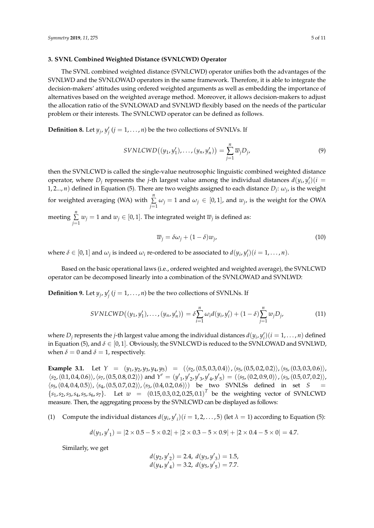#### **3. SVNL Combined Weighted Distance (SVNLCWD) Operator**

The SVNL combined weighted distance (SVNLCWD) operator unifies both the advantages of the SVNLWD and the SVNLOWAD operators in the same framework. Therefore, it is able to integrate the decision-makers' attitudes using ordered weighted arguments as well as embedding the importance of alternatives based on the weighted average method. Moreover, it allows decision-makers to adjust the allocation ratio of the SVNLOWAD and SVNLWD flexibly based on the needs of the particular problem or their interests. The SVNLCWD operator can be defined as follows.

**Definition 8.** Let  $y_j$ ,  $y'_j$  ( $j = 1, ..., n$ ) be the two collections of SVNLVs. If

$$
SVNLCWD((y_1, y_1'), \ldots, (y_n, y_n')) = \sum_{j=1}^n \overline{w}_j D_j,
$$
\n(9)

then the SVNLCWD is called the single-value neutrosophic linguistic combined weighted distance operator, where  $D_j$  represents the *j*-th largest value among the individual distances  $d(y_i, y'_i)(i =$ 1, 2..., *n*) defined in Equation (5). There are two weights assigned to each distance  $D_j$ :  $\omega_j$ , is the weight for weighted averaging (WA) with *n* ∑  $\sum_{j=1}$   $\omega_j = 1$  and  $\omega_j \in [0,1]$ , and  $w_j$ , is the weight for the OWA meeting *n* ∑  $\sum\limits_{j=1} w_j = 1$  and  $w_j \in [0, 1]$ . The integrated weight  $\overline{w}_j$  is defined as:

$$
\overline{w}_j = \delta \omega_j + (1 - \delta) w_j,\tag{10}
$$

where  $\delta \in [0,1]$  and  $\omega_j$  is indeed  $\omega_i$  re-ordered to be associated to  $d(y_i, y'_i)$   $(i = 1, \ldots, n)$ .

Based on the basic operational laws (i.e., ordered weighted and weighted average), the SVNLCWD operator can be decomposed linearly into a combination of the SVNLOWAD and SVNLWD:

**Definition 9.** Let  $y_j$ ,  $y'_j$  ( $j = 1, ..., n$ ) be the two collections of SVNLNs. If

$$
SVNLCWD((y_1, y'_1), \ldots, (y_n, y'_n)) = \delta \sum_{i=1}^n \omega_i d(y_i, y'_i) + (1 - \delta) \sum_{j=1}^n w_j D_j,
$$
 (11)

where  $D_j$  represents the *j*-th largest value among the individual distances  $d(y_i, y'_i)(i = 1, \ldots, n)$  defined in Equation (5), and  $\delta \in [0,1]$ . Obviously, the SVNLCWD is reduced to the SVNLOWAD and SVNLWD, when  $\delta = 0$  and  $\delta = 1$ , respectively.

**Example 3.1.** Let  $Y = (y_1, y_2, y_3, y_4, y_5) = ((s_2, (0.5, 0.3, 0.4)), (s_5, (0.5, 0.2, 0.2)), (s_5, (0.3, 0.3, 0.6))),$  $\langle s_2,(0.1, 0.4, 0.6) \rangle$ ,  $\langle s_7,(0.5, 0.8, 0.2) \rangle$ ) and  $Y' = (y'_{1}, y'_{2}, y'_{3}, y'_{4}, y'_{5}) = (\langle s_5,(0.2, 0.9, 0) \rangle$ ,  $\langle s_3,(0.5, 0.7, 0.2) \rangle$ ,  $\langle s_5, (0.4, 0.4, 0.5) \rangle$ ,  $\langle s_4, (0.5, 0.7, 0.2) \rangle$ ,  $\langle s_3, (0.4, 0.2, 0.6) \rangle$  be two SVNLSs defined in set *S*  $\{s_1, s_2, s_3, s_4, s_5, s_6, s_7\}$ . Let  $w = (0.15, 0.3, 0.2, 0.25, 0.1)^T$  be the weighting vector of SVNLCWD measure. Then, the aggregating process by the SVNLCWD can be displayed as follows:

(1) Compute the individual distances  $d(y_i, y'_i)$  ( $i = 1, 2, ..., 5$ ) (let  $\lambda = 1$ ) according to Equation (5):

$$
d(y_1, y'_1) = |2 \times 0.5 - 5 \times 0.2| + |2 \times 0.3 - 5 \times 0.9| + |2 \times 0.4 - 5 \times 0| = 4.7.
$$

Similarly, we get

$$
d(y_2, y'_2) = 2.4, d(y_3, y'_3) = 1.5,d(y_4, y'_4) = 3.2, d(y_5, y'_5) = 7.7.
$$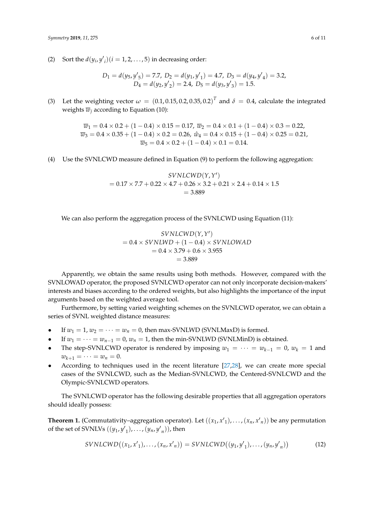(2) Sort the  $d(y_i, y'_i)$  ( $i = 1, 2, ..., 5$ ) in decreasing order:

 $D_1 = d(y_5, y'_5) = 7.7$ ,  $D_2 = d(y_1, y'_1) = 4.7$ ,  $D_3 = d(y_4, y'_4) = 3.2$ ,  $D_4 = d(y_2, y'_2) = 2.4$ ,  $D_5 = d(y_3, y'_3) = 1.5$ .

(3) Let the weighting vector  $\omega = (0.1, 0.15, 0.2, 0.35, 0.2)^T$  and  $\delta = 0.4$ , calculate the integrated weights  $\overline{w}_i$  according to Equation (10):

> $\overline{w}_1 = 0.4 \times 0.2 + (1 - 0.4) \times 0.15 = 0.17$ ,  $\overline{w}_2 = 0.4 \times 0.1 + (1 - 0.4) \times 0.3 = 0.22$ ,  $\overline{w}_3 = 0.4 \times 0.35 + (1 - 0.4) \times 0.2 = 0.26$ ,  $\hat{w}_4 = 0.4 \times 0.15 + (1 - 0.4) \times 0.25 = 0.21$ ,  $\overline{w}_5 = 0.4 \times 0.2 + (1 - 0.4) \times 0.1 = 0.14.$

(4) Use the SVNLCWD measure defined in Equation (9) to perform the following aggregation:

$$
SVMLCWD(Y, Y') = 0.17 \times 7.7 + 0.22 \times 4.7 + 0.26 \times 3.2 + 0.21 \times 2.4 + 0.14 \times 1.5
$$
  
= 3.889

We can also perform the aggregation process of the SVNLCWD using Equation (11):

$$
SVML CWD(Y, Y')
$$
  
= 0.4 × SVML WD + (1 – 0.4) × SVMLOWAD  
= 0.4 × 3.79 + 0.6 × 3.955  
= 3.889

Apparently, we obtain the same results using both methods. However, compared with the SVNLOWAD operator, the proposed SVNLCWD operator can not only incorporate decision-makers' interests and biases according to the ordered weights, but also highlights the importance of the input arguments based on the weighted average tool.

Furthermore, by setting varied weighting schemes on the SVNLCWD operator, we can obtain a series of SVNL weighted distance measures:

- If  $w_1 = 1$ ,  $w_2 = \cdots = w_n = 0$ , then max-SVNLWD (SVNLMaxD) is formed.
- If  $w_1 = \cdots = w_{n-1} = 0$ ,  $w_n = 1$ , then the min-SVNLWD (SVNLMinD) is obtained.
- The step-SVNLCWD operator is rendered by imposing  $w_1 = \cdots = w_{k-1} = 0$ ,  $w_k = 1$  and  $w_{k+1} = \cdots = w_n = 0.$
- According to techniques used in the recent literature [\[27,](#page-10-16)[28\]](#page-10-17), we can create more special cases of the SVNLCWD, such as the Median-SVNLCWD, the Centered-SVNLCWD and the Olympic-SVNLCWD operators.

The SVNLCWD operator has the following desirable properties that all aggregation operators should ideally possess:

**Theorem 1.** (Commutativity–aggregation operator). Let  $((x_1, x'_1), ..., (x_n, x'_n))$  be any permutation of the set of SVNLVs  $((y_1, y'_1), \ldots, (y_n, y'_n))$ , then

$$
SVNLCWD((x_1, x'_1), \ldots, (x_n, x'_n)) = SVNLCWD((y_1, y'_1), \ldots, (y_n, y'_n))
$$
 (12)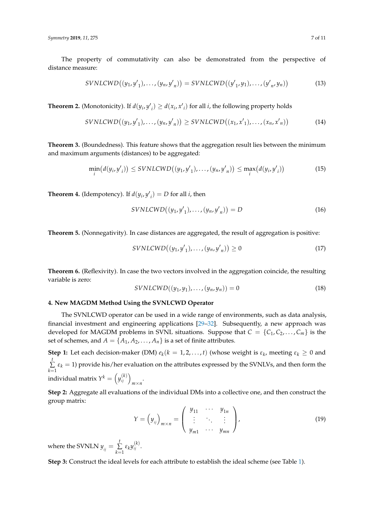The property of commutativity can also be demonstrated from the perspective of distance measure:

$$
SVNLCWD((y_1, y'_1), \dots, (y_n, y'_n)) = SVNLCWD((y'_1, y_1), \dots, (y'_n, y_n))
$$
\n(13)

**Theorem 2.** (Monotonicity). If  $d(y_i, y'_i) \geq d(x_i, x'_i)$  for all *i*, the following property holds

$$
SVNLCWD((y_1, y'_1), \ldots, (y_n, y'_n)) \geq SVNLCWD((x_1, x'_1), \ldots, (x_n, x'_n))
$$
\n
$$
(14)
$$

**Theorem 3.** (Boundedness). This feature shows that the aggregation result lies between the minimum and maximum arguments (distances) to be aggregated:

$$
\min_{i} (d(y_i, y'_i)) \leq SVNLCWD((y_1, y'_1), \dots, (y_n, y'_n)) \leq \max_{i} (d(y_i, y'_i))
$$
\n(15)

**Theorem 4.** (Idempotency). If  $d(y_i, y'_i) = D$  for all *i*, then

$$
SVNLCWD((y_1, y'_1), \dots, (y_n, y'_n)) = D \tag{16}
$$

**Theorem 5.** (Nonnegativity). In case distances are aggregated, the result of aggregation is positive:

$$
SVNLCWD((y_1, y'_1), \dots, (y_n, y'_n)) \ge 0
$$
\n
$$
(17)
$$

**Theorem 6.** (Reflexivity). In case the two vectors involved in the aggregation coincide, the resulting variable is zero:

$$
SVNLCWD((y_1, y_1), \ldots, (y_n, y_n)) = 0 \tag{18}
$$

#### **4. New MAGDM Method Using the SVNLCWD Operator**

The SVNLCWD operator can be used in a wide range of environments, such as data analysis, financial investment and engineering applications [\[29–](#page-10-18)[32\]](#page-10-19). Subsequently, a new approach was developed for MAGDM problems in SVNL situations. Suppose that  $C = \{C_1, C_2, \ldots, C_m\}$  is the set of schemes, and  $A = \{A_1, A_2, \ldots, A_n\}$  is a set of finite attributes.

**Step 1:** Let each decision-maker (DM)  $e_k(k = 1, 2, ..., t)$  (whose weight is  $\varepsilon_k$ , meeting  $\varepsilon_k \geq 0$  and *t* ∑  $\sum_{k=1}$   $\varepsilon_k$  = 1) provide his/her evaluation on the attributes expressed by the SVNLVs, and then form the individual matrix  $Y^k = \left(y_{ij}^{(k)}\right)_{m \times n}$ .

**Step 2:** Aggregate all evaluations of the individual DMs into a collective one, and then construct the group matrix:

$$
Y = (y_{ij})_{m \times n} = \begin{pmatrix} y_{11} & \cdots & y_{1n} \\ \vdots & \ddots & \vdots \\ y_{m1} & \cdots & y_{mn} \end{pmatrix},
$$
(19)

where the SVNLN  $y_{ij} = \sum_{i=1}^{t}$  $\sum_{k=1}^{\iota} \varepsilon_k y_{ij}^{(k)}$ .

**Step 3:** Construct the ideal levels for each attribute to establish the ideal scheme (see Table [1\)](#page-7-0).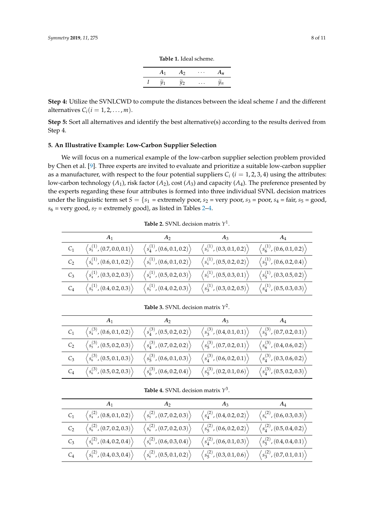| A <sub>1</sub> | A <sub>2</sub>    | $\cdots$ | $A_n$ |
|----------------|-------------------|----------|-------|
| $y_1$          | $\widetilde{y}_2$ | $\cdots$ | Yп    |

**Table 1.** Ideal scheme.

<span id="page-7-0"></span>**Step 4:** Utilize the SVNLCWD to compute the distances between the ideal scheme *I* and the different alternatives  $C_i$  ( $i = 1, 2, ..., m$ ).

**Step 5:** Sort all alternatives and identify the best alternative(s) according to the results derived from Step 4.

## **5. An Illustrative Example: Low-Carbon Supplier Selection**

We will focus on a numerical example of the low-carbon supplier selection problem provided by Chen et al. [\[9\]](#page-9-8). Three experts are invited to evaluate and prioritize a suitable low-carbon supplier as a manufacturer, with respect to the four potential suppliers  $C_i$  ( $i = 1, 2, 3, 4$ ) using the attributes: low-carbon technology  $(A_1)$ , risk factor  $(A_2)$ , cost  $(A_3)$  and capacity  $(A_4)$ . The preference presented by the experts regarding these four attributes is formed into three individual SVNL decision matrices under the linguistic term set  $S = \{s_1 = \text{extremely poor}, s_2 = \text{very poor}, s_3 = \text{poor}, s_4 = \text{fair}, s_5 = \text{good}, s_6 = \text{user, } s_7 = \text{user, } s_8 = \text{user, } s_9 = \text{user, } s_9 = \text{user, } s_1 = \text{user, } s_1 = \text{user, } s_1 = \text{user, } s_2 = \text{user, } s_3 = \text{user, } s_4 = \text{fair, } s_5 = \text{good, } s_6 = \text{user, } s_7 = \text{$  $s_6$  = very good,  $s_7$  = extremely good}, as listed in Tables [2–](#page-7-1)[4.](#page-7-2)

**Table 2.** SVNL decision matrix  $Y^1$ .

<span id="page-7-1"></span>

|       |                                                                        | A <sub>2</sub>                                                              | $A_3$                                                                       | $A_4$                                                           |
|-------|------------------------------------------------------------------------|-----------------------------------------------------------------------------|-----------------------------------------------------------------------------|-----------------------------------------------------------------|
| $C_1$ | $\left\langle s_{5}^{(1)} ,\left(0.7,0.0,0.1\right)\right\rangle$      | $\left\langle s_{4}^{(1)} ,\left(0.6,0.1,0.2\right)\right\rangle$           | $\langle s_3^{(1)}, (0.3, 0.1, 0.2) \rangle$                                | $\langle s_6^{(1)}, (0.6, 0.1, 0.2) \rangle$                    |
| $C_2$ | $\left\langle s^{(1)}_6,(0.6,0.1,0.2)\right\rangle$                    | $\left\langle s_{5}^{(1)} ,\left(0.6,0.1,0.2\right)\right\rangle$           | $\left\langle s_{\scriptscriptstyle 4}^{(1)} , (0.5,0.2,0.2) \right\rangle$ | $\langle s_3^{(1)}, (0.6, 0.2, 0.4) \rangle$                    |
| $C_3$ | $\left\langle s_{4}^{(1)} , \left(0.3, 0.2, 0.3 \right) \right\rangle$ | $\left\langle s_{\scriptscriptstyle 4}^{(1)} , (0.5,0.2,0.3) \right\rangle$ | $\left\langle s_{3}^{(1)} , \left(0.5, 0.3, 0.1\right) \right\rangle$       | $\langle s_5^{(1)}, (0.3, 0.5, 0.2) \rangle$                    |
| $C_4$ | $\left\langle s_{5}^{(1)} ,\left(0.4,0.2,0.3\right)\right\rangle$      | $\left\langle s_{5}^{(1)} ,\left(0.4,0.2,0.3\right)\right\rangle$           | $\left\langle s_{3}^{(1)} , \left(0.3, 0.2, 0.5\right) \right\rangle$       | $\left\langle s_{4}^{(1)}\left(0.5,0.3,0.3\right)\right\rangle$ |

**Table 3.** SVNL decision matrix  $Y^2$ .

|       | $A_1$                                                                  | A <sub>2</sub>                                                         | $A_3$                                                                  | $A_4$                                        |
|-------|------------------------------------------------------------------------|------------------------------------------------------------------------|------------------------------------------------------------------------|----------------------------------------------|
| $C_1$ | $\langle s_4^{(3)}, (0.6, 0.1, 0.2) \rangle$                           | $\left\langle s_{4}^{(3)},\left(0.5,0.2,0.2\right)\right\rangle$       | $\left\langle s_{3}^{(3)} , (0.4,0.1,0.1)\right\rangle$                | $\langle s_5^{(3)}, (0.7, 0.2, 0.1) \rangle$ |
| $C_2$ | $\left\langle s_{5}^{(3)} , \left(0.5, 0.2, 0.3 \right) \right\rangle$ | $\left\langle s_{4}^{(3)} , \left(0.7,0.2,0.2\right)\right\rangle$     | $\left\langle s_{5}^{(3)} ,\left(0.7,0.2,0.1\right)\right\rangle$      | $\langle s_6^{(3)}, (0.4, 0.6, 0.2) \rangle$ |
| $C_3$ | $\left\langle s^{(3)}_6,(0.5,0.1,0.3)\right\rangle$                    | $\left\langle s_{5}^{(3)} ,\left(0.6,0.1,0.3\right)\right\rangle$      | $\left\langle s_{4}^{(3)} ,\left(0.6,0.2,0.1\right)\right\rangle$      | $\langle s_4^{(3)}, (0.3, 0.6, 0.2) \rangle$ |
| $C_4$ | $\langle s_6^{(3)}, (0.5, 0.2, 0.3) \rangle$                           | $\left\langle s_{6}^{(3)} , \left(0.6, 0.2, 0.4 \right) \right\rangle$ | $\left\langle s_{5}^{(3)} , \left(0.2, 0.1, 0.6 \right) \right\rangle$ | $\langle s_4^{(3)}, (0.5, 0.2, 0.3) \rangle$ |

**Table 4.** SVNL decision matrix *Y* 3 .

<span id="page-7-2"></span>

|                | A <sub>1</sub>                                                    | A <sub>2</sub>                                      | $A_3$                                                                  | $A_4$                                        |
|----------------|-------------------------------------------------------------------|-----------------------------------------------------|------------------------------------------------------------------------|----------------------------------------------|
| $C_1$          | $\langle s_4^{(2)}, (0.8, 0.1, 0.2) \rangle$                      | $\langle s_5^{(2)}, (0.7, 0.2, 0.3) \rangle$        | $\langle s_4^{(2)}, (0.4, 0.2, 0.2) \rangle$                           | $\langle s_6^{(2)}, (0.6, 0.3, 0.3) \rangle$ |
| C <sub>2</sub> | $\left\langle s^{(2)}_6,(0.7,0.2,0.3)\right\rangle$               | $\langle s_6^{(2)},(0.7,0.2,0.3)\rangle$            | $\left\langle s_{5}^{(2)} , \left(0.6, 0.2, 0.2\right)\right\rangle$   | $\langle s_4^{(2)}, (0.5, 0.4, 0.2) \rangle$ |
| $C_3$          | $\left\langle s^{(2)}_6,(0.4,0.2,0.4)\right\rangle$               | $\left\langle s^{(2)}_6,(0.6,0.3,0.4)\right\rangle$ | $\langle s_4^{(2)}, (0.6, 0.1, 0.3) \rangle$                           | $\langle s_5^{(2)}, (0.4, 0.4, 0.1) \rangle$ |
| $C_4$          | $\left\langle s_{5}^{(2)} ,\left(0.4,0.3,0.4\right)\right\rangle$ | $\left\langle s^{(2)}_6,(0.5,0.1,0.2)\right\rangle$ | $\left\langle s_{5}^{(2)} , \left(0.3, 0.1, 0.6 \right) \right\rangle$ | $\langle s_3^{(2)}, (0.7, 0.1, 0.1) \rangle$ |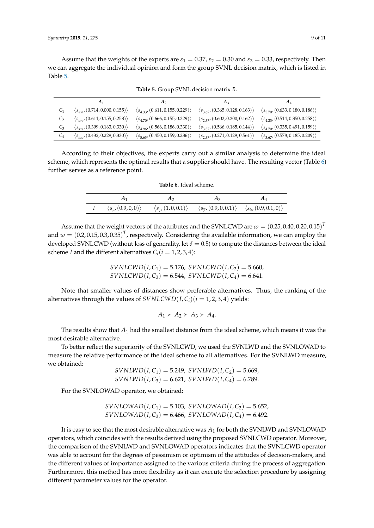Assume that the weights of the experts are  $\varepsilon_1 = 0.37$ ,  $\varepsilon_2 = 0.30$  and  $\varepsilon_3 = 0.33$ , respectively. Then we can aggregate the individual opinion and form the group SVNL decision matrix, which is listed in Table [5.](#page-8-0)

<span id="page-8-0"></span>

|                | A1                                               | A <sub>2</sub>                                    | $A_3$                                             | $A_4$                                             |
|----------------|--------------------------------------------------|---------------------------------------------------|---------------------------------------------------|---------------------------------------------------|
| $C_1$          | $\langle s_{127}/(0.714, 0.000, 0.155) \rangle$  | $\langle s_{4,33}, (0.611, 0.155, 0.229) \rangle$ | $\langle s_{3.67}, (0.365, 0.128, 0.163) \rangle$ | $\langle s_{5.70}, (0.633, 0.180, 0.186) \rangle$ |
| C <sub>2</sub> | $\langle s_{570}, (0.611, 0.155, 0.258) \rangle$ | $\langle s_{4.70}, (0.666, 0.155, 0.229) \rangle$ | $\langle s_{2,37}, (0.602, 0.200, 0.162) \rangle$ | $\langle s_{4,23}, (0.514, 0.350, 0.258) \rangle$ |
| $C_3$          | $\langle s_{526}, (0.399, 0.163, 0.330) \rangle$ | $\langle s_{4.96}, (0.566, 0.186, 0.330) \rangle$ | $\langle s_{3,37}, (0.566, 0.185, 0.144) \rangle$ | $\langle s_{4.70}, (0.335, 0.491, 0.159) \rangle$ |
| $C_4$          | $\langle s_{530}, (0.432, 0.229, 0.330) \rangle$ | $\langle s_{5,63}, (0.450, 0.159, 0.286) \rangle$ | $\langle s_{2,37}, (0.271, 0.129, 0.561) \rangle$ | $\langle s_{3.67}, (0.578, 0.185, 0.209) \rangle$ |

**Table 5.** Group SVNL decision matrix *R*.

<span id="page-8-1"></span>According to their objectives, the experts carry out a similar analysis to determine the ideal scheme, which represents the optimal results that a supplier should have. The resulting vector (Table [6\)](#page-8-1) further serves as a reference point.

| A <sub>1</sub> | $A_2$ | $A_3$                                                                                                                                             | $A_4$ |
|----------------|-------|---------------------------------------------------------------------------------------------------------------------------------------------------|-------|
|                |       | I $\langle s_{7}, (0.9,0,0) \rangle$ $\langle s_{7}, (1,0,0.1) \rangle$ $\langle s_{7}, (0.9,0,0.1) \rangle$ $\langle s_{6}, (0.9,0.1,0) \rangle$ |       |

**Table 6.** Ideal scheme.

Assume that the weight vectors of the attributes and the SVNLCWD are  $\omega = (0.25, 0.40, 0.20, 0.15)^T$ and  $w = (0.2, 0.15, 0.3, 0.35)^T$ , respectively. Considering the available information, we can employ the developed SVNLCWD (without loss of generality, let  $\delta = 0.5$ ) to compute the distances between the ideal scheme *I* and the different alternatives  $C_i$  ( $i = 1, 2, 3, 4$ ):

> $SVMLCWD(I, C_1) = 5.176, SVNLCWD(I, C_2) = 5.660,$  $SVMLCWD(I,C_3) = 6.544$ ,  $SVMLCWD(I,C_4) = 6.641$ .

Note that smaller values of distances show preferable alternatives. Thus, the ranking of the alternatives through the values of  $SVNLCWD(I, C_i)(i = 1, 2, 3, 4)$  yields:

$$
A_1 \succ A_2 \succ A_3 \succ A_4.
$$

The results show that *A*<sup>1</sup> had the smallest distance from the ideal scheme, which means it was the most desirable alternative.

To better reflect the superiority of the SVNLCWD, we used the SVNLWD and the SVNLOWAD to measure the relative performance of the ideal scheme to all alternatives. For the SVNLWD measure, we obtained:

$$
SVNLWD(I, C_1) = 5.249, SVNLWD(I, C_2) = 5.669, SVNLWD(I, C_3) = 6.621, SVNLWD(I, C_4) = 6.789.
$$

For the SVNLOWAD operator, we obtained:

$$
SVINLOWAD(I, C_1) = 5.103, SVINLOWAD(I, C_2) = 5.652, SVINLOWAD(I, C_3) = 6.466, SYNLOWAD(I, C_4) = 6.492.
$$

It is easy to see that the most desirable alternative was *A*<sup>1</sup> for both the SVNLWD and SVNLOWAD operators, which coincides with the results derived using the proposed SVNLCWD operator. Moreover, the comparison of the SVNLWD and SVNLOWAD operators indicates that the SVNLCWD operator was able to account for the degrees of pessimism or optimism of the attitudes of decision-makers, and the different values of importance assigned to the various criteria during the process of aggregation. Furthermore, this method has more flexibility as it can execute the selection procedure by assigning different parameter values for the operator.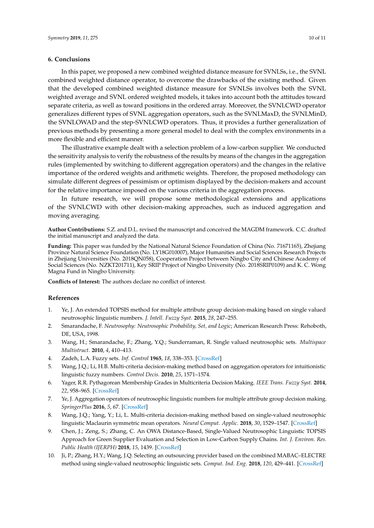#### **6. Conclusions**

In this paper, we proposed a new combined weighted distance measure for SVNLSs, i.e., the SVNL combined weighted distance operator, to overcome the drawbacks of the existing method. Given that the developed combined weighted distance measure for SVNLSs involves both the SVNL weighted average and SVNL ordered weighted models, it takes into account both the attitudes toward separate criteria, as well as toward positions in the ordered array. Moreover, the SVNLCWD operator generalizes different types of SVNL aggregation operators, such as the SVNLMaxD, the SVNLMinD, the SVNLOWAD and the step-SVNLCWD operators. Thus, it provides a further generalization of previous methods by presenting a more general model to deal with the complex environments in a more flexible and efficient manner.

The illustrative example dealt with a selection problem of a low-carbon supplier. We conducted the sensitivity analysis to verify the robustness of the results by means of the changes in the aggregation rules (implemented by switching to different aggregation operators) and the changes in the relative importance of the ordered weights and arithmetic weights. Therefore, the proposed methodology can simulate different degrees of pessimism or optimism displayed by the decision-makers and account for the relative importance imposed on the various criteria in the aggregation process.

In future research, we will propose some methodological extensions and applications of the SVNLCWD with other decision-making approaches, such as induced aggregation and moving averaging.

**Author Contributions:** S.Z. and D.L. revised the manuscript and conceived the MAGDM framework. C.C. drafted the initial manuscript and analyzed the data.

**Funding:** This paper was funded by the National Natural Science Foundation of China (No. 71671165), Zhejiang Province Natural Science Foundation (No. LY18G010007), Major Humanities and Social Sciences Research Projects in Zhejiang Universities (No. 2018QN058), Cooperation Project between Ningbo City and Chinese Academy of Social Sciences (No. NZKT201711), Key SRIP Project of Ningbo University (No. 2018SRIP0109) and K. C. Wong Magna Fund in Ningbo University.

**Conflicts of Interest:** The authors declare no conflict of interest.

## **References**

- <span id="page-9-0"></span>1. Ye, J. An extended TOPSIS method for multiple attribute group decision-making based on single valued neutrosophic linguistic numbers. *J. Intell. Fuzzy Syst.* **2015**, *28*, 247–255.
- <span id="page-9-1"></span>2. Smarandache, F. *Neutrosophy: Neutrosophic Probability, Set, and Logic*; American Research Press: Rehoboth, DE, USA, 1998.
- <span id="page-9-2"></span>3. Wang, H.; Smarandache, F.; Zhang, Y.Q.; Sunderraman, R. Single valued neutrosophic sets. *Multispace Multistruct.* **2010**, *4*, 410–413.
- <span id="page-9-3"></span>4. Zadeh, L.A. Fuzzy sets. *Inf. Control* **1965**, *18*, 338–353. [\[CrossRef\]](http://dx.doi.org/10.1016/S0019-9958(65)90241-X)
- <span id="page-9-4"></span>5. Wang, J.Q.; Li, H.B. Multi-criteria decision-making method based on aggregation operators for intuitionistic linguistic fuzzy numbers. *Control Decis.* **2010**, *25*, 1571–1574.
- <span id="page-9-5"></span>6. Yager, R.R. Pythagorean Membership Grades in Multicriteria Decision Making. *IEEE Trans. Fuzzy Syst.* **2014**, *22*, 958–965. [\[CrossRef\]](http://dx.doi.org/10.1109/TFUZZ.2013.2278989)
- <span id="page-9-6"></span>7. Ye, J. Aggregation operators of neutrosophic linguistic numbers for multiple attribute group decision making. *SpringerPlus* **2016**, *5*, 67. [\[CrossRef\]](http://dx.doi.org/10.1186/s40064-016-3247-5)
- <span id="page-9-7"></span>8. Wang, J.Q.; Yang, Y.; Li, L. Multi-criteria decision-making method based on single-valued neutrosophic linguistic Maclaurin symmetric mean operators. *Neural Comput. Applic.* **2018**, *30*, 1529–1547. [\[CrossRef\]](http://dx.doi.org/10.1007/s00521-016-2747-0)
- <span id="page-9-8"></span>9. Chen, J.; Zeng, S.; Zhang, C. An OWA Distance-Based, Single-Valued Neutrosophic Linguistic TOPSIS Approach for Green Supplier Evaluation and Selection in Low-Carbon Supply Chains. *Int. J. Environ. Res. Public Health (IJERPH)* **2018**, *15*, 1439. [\[CrossRef\]](http://dx.doi.org/10.3390/ijerph15071439)
- <span id="page-9-9"></span>10. Ji, P.; Zhang, H.Y.; Wang, J.Q. Selecting an outsourcing provider based on the combined MABAC–ELECTRE method using single-valued neutrosophic linguistic sets. *Comput. Ind. Eng.* **2018**, *120*, 429–441. [\[CrossRef\]](http://dx.doi.org/10.1016/j.cie.2018.05.012)